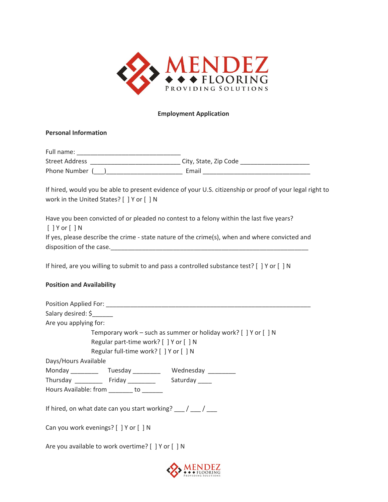

### **Employment Application**

# **Personal Information**

Full name: \_\_\_\_\_\_\_\_\_\_\_\_\_\_\_\_\_\_\_\_\_\_\_\_\_\_\_\_\_\_ Street Address \_\_\_\_\_\_\_\_\_\_\_\_\_\_\_\_\_\_\_\_\_\_\_\_\_\_ City, State, Zip Code \_\_\_\_\_\_\_\_\_\_\_\_\_\_\_\_\_\_\_\_ Phone Number (\_\_\_) Email Email Email Email Email Email Email Email Email Email Email Email Email Email Email Email Email Email Email Email Email Email Email Email Email Email Email Email Email Email Email Email Email Email

If hired, would you be able to present evidence of your U.S. citizenship or proof of your legal right to work in the United States? [ ] Y or [ ] N

Have you been convicted of or pleaded no contest to a felony within the last five years? [ ] Y or [ ] N If yes, please describe the crime - state nature of the crime(s), when and where convicted and disposition of the case.

If hired, are you willing to submit to and pass a controlled substance test? [ ] Y or [ ] N

# **Position and Availability**

| Salary desired: \$                                                  |  |  |  |
|---------------------------------------------------------------------|--|--|--|
| Are you applying for:                                               |  |  |  |
| Temporary work – such as summer or holiday work? $[$ ] Y or $[$ ] N |  |  |  |
| Regular part-time work? [ ] Y or [ ] N                              |  |  |  |
| Regular full-time work? [ ] Y or [ ] N                              |  |  |  |
| Days/Hours Available                                                |  |  |  |
| Monday _____________Tuesday ________________Wednesday ___________   |  |  |  |
| Thursday ____________ Friday _____________ Saturday _____           |  |  |  |
| Hours Available: from _______ to ______                             |  |  |  |
|                                                                     |  |  |  |
| If hired, on what date can you start working? $\frac{1}{\sqrt{2}}$  |  |  |  |
|                                                                     |  |  |  |
| Can you work evenings? [ ] Y or [ ] N                               |  |  |  |
|                                                                     |  |  |  |
| Are you available to work overtime? [ ] Y or [ ] N                  |  |  |  |
|                                                                     |  |  |  |
|                                                                     |  |  |  |

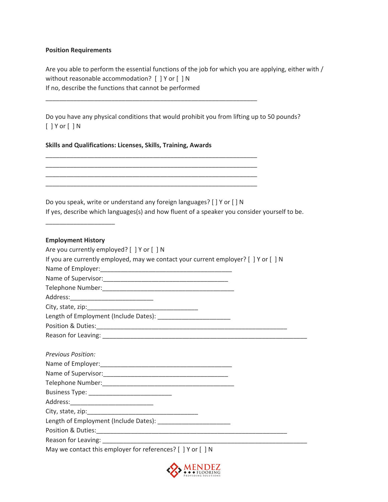### **Position Requirements**

Are you able to perform the essential functions of the job for which you are applying, either with / without reasonable accommodation? [ ] Y or [ ] N If no, describe the functions that cannot be performed

Do you have any physical conditions that would prohibit you from lifting up to 50 pounds? [ ] Y or [ ] N

\_\_\_\_\_\_\_\_\_\_\_\_\_\_\_\_\_\_\_\_\_\_\_\_\_\_\_\_\_\_\_\_\_\_\_\_\_\_\_\_\_\_\_\_\_\_\_\_\_\_\_\_\_\_\_\_\_\_\_\_\_

\_\_\_\_\_\_\_\_\_\_\_\_\_\_\_\_\_\_\_\_\_\_\_\_\_\_\_\_\_\_\_\_\_\_\_\_\_\_\_\_\_\_\_\_\_\_\_\_\_\_\_\_\_\_\_\_\_\_\_\_\_ \_\_\_\_\_\_\_\_\_\_\_\_\_\_\_\_\_\_\_\_\_\_\_\_\_\_\_\_\_\_\_\_\_\_\_\_\_\_\_\_\_\_\_\_\_\_\_\_\_\_\_\_\_\_\_\_\_\_\_\_\_ \_\_\_\_\_\_\_\_\_\_\_\_\_\_\_\_\_\_\_\_\_\_\_\_\_\_\_\_\_\_\_\_\_\_\_\_\_\_\_\_\_\_\_\_\_\_\_\_\_\_\_\_\_\_\_\_\_\_\_\_\_ \_\_\_\_\_\_\_\_\_\_\_\_\_\_\_\_\_\_\_\_\_\_\_\_\_\_\_\_\_\_\_\_\_\_\_\_\_\_\_\_\_\_\_\_\_\_\_\_\_\_\_\_\_\_\_\_\_\_\_\_\_

# **Skills and Qualifications: Licenses, Skills, Training, Awards**

Do you speak, write or understand any foreign languages? [ ] Y or [ ] N If yes, describe which languages(s) and how fluent of a speaker you consider yourself to be.

#### **Employment History**

\_\_\_\_\_\_\_\_\_\_\_\_\_\_\_\_\_\_\_\_

| Are you currently employed? [ ] Y or [ ] N                                          |  |
|-------------------------------------------------------------------------------------|--|
| If you are currently employed, may we contact your current employer? [ ] Y or [ ] N |  |
|                                                                                     |  |
|                                                                                     |  |
|                                                                                     |  |
|                                                                                     |  |
|                                                                                     |  |
|                                                                                     |  |
|                                                                                     |  |
|                                                                                     |  |
|                                                                                     |  |
| <b>Previous Position:</b>                                                           |  |
|                                                                                     |  |
|                                                                                     |  |
|                                                                                     |  |
|                                                                                     |  |
|                                                                                     |  |
|                                                                                     |  |
|                                                                                     |  |
| Position & Duties: 2008 Position & Duties:                                          |  |
|                                                                                     |  |
| May we contact this employer for references? [ ] Y or [ ] N                         |  |